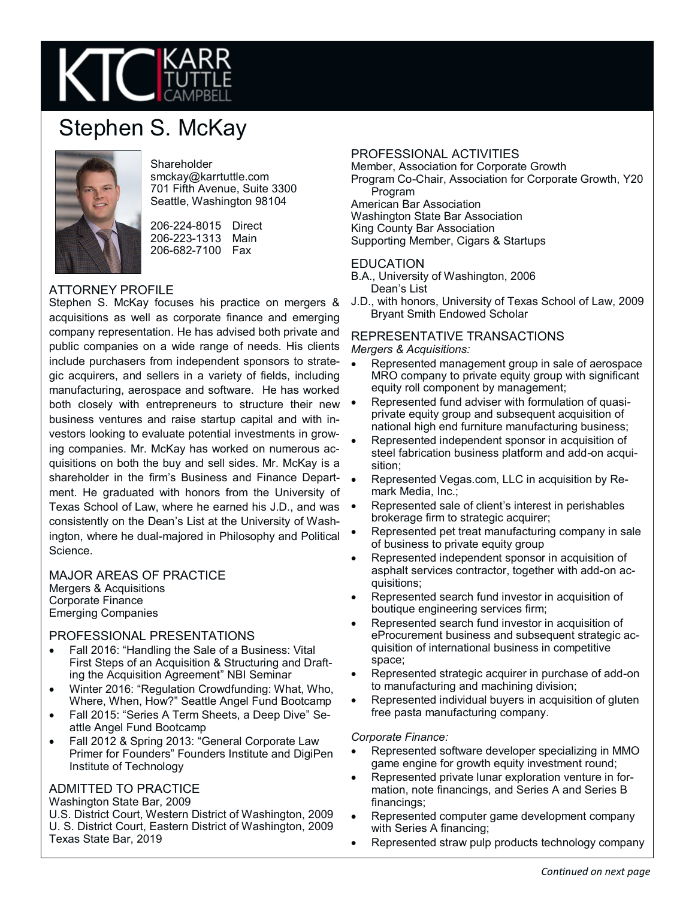

# Stephen S. McKay



**Shareholder** smckay@karrtuttle.com 701 Fifth Avenue, Suite 3300 Seattle, Washington 98104

206-224-8015 Direct 206-223-1313 Main 206-682-7100 Fax

# ATTORNEY PROFILE

Stephen S. McKay focuses his practice on mergers & acquisitions as well as corporate finance and emerging company representation. He has advised both private and public companies on a wide range of needs. His clients include purchasers from independent sponsors to strategic acquirers, and sellers in a variety of fields, including manufacturing, aerospace and software. He has worked both closely with entrepreneurs to structure their new business ventures and raise startup capital and with investors looking to evaluate potential investments in growing companies. Mr. McKay has worked on numerous acquisitions on both the buy and sell sides. Mr. McKay is a shareholder in the firm's Business and Finance Department. He graduated with honors from the University of Texas School of Law, where he earned his J.D., and was consistently on the Dean's List at the University of Washington, where he dual-majored in Philosophy and Political Science.

#### MAJOR AREAS OF PRACTICE Mergers & Acquisitions Corporate Finance

Emerging Companies

## PROFESSIONAL PRESENTATIONS

- Fall 2016: "Handling the Sale of a Business: Vital First Steps of an Acquisition & Structuring and Drafting the Acquisition Agreement" NBI Seminar
- Winter 2016: "Regulation Crowdfunding: What, Who, Where, When, How?" Seattle Angel Fund Bootcamp
- Fall 2015: "Series A Term Sheets, a Deep Dive" Seattle Angel Fund Bootcamp
- Fall 2012 & Spring 2013: "General Corporate Law Primer for Founders" Founders Institute and DigiPen Institute of Technology

## ADMITTED TO PRACTICE

Washington State Bar, 2009

U.S. District Court, Western District of Washington, 2009 U. S. District Court, Eastern District of Washington, 2009 Texas State Bar, 2019

# PROFESSIONAL ACTIVITIES

Member, Association for Corporate Growth Program Co-Chair, Association for Corporate Growth, Y20

Program American Bar Association Washington State Bar Association King County Bar Association

Supporting Member, Cigars & Startups

#### EDUCATION

- B.A., University of Washington, 2006 Dean's List
- J.D., with honors, University of Texas School of Law, 2009 Bryant Smith Endowed Scholar

#### REPRESENTATIVE TRANSACTIONS *Mergers & Acquisitions:*

- Represented management group in sale of aerospace MRO company to private equity group with significant equity roll component by management;
- Represented fund adviser with formulation of quasiprivate equity group and subsequent acquisition of national high end furniture manufacturing business;
- Represented independent sponsor in acquisition of steel fabrication business platform and add-on acquisition;
- Represented Vegas.com, LLC in acquisition by Remark Media, Inc.;
- Represented sale of client's interest in perishables brokerage firm to strategic acquirer;
- Represented pet treat manufacturing company in sale of business to private equity group
- Represented independent sponsor in acquisition of asphalt services contractor, together with add-on acquisitions;
- Represented search fund investor in acquisition of boutique engineering services firm;
- Represented search fund investor in acquisition of eProcurement business and subsequent strategic acquisition of international business in competitive space;
- Represented strategic acquirer in purchase of add-on to manufacturing and machining division;
- Represented individual buyers in acquisition of gluten free pasta manufacturing company.

#### *Corporate Finance:*

- Represented software developer specializing in MMO game engine for growth equity investment round;
- Represented private lunar exploration venture in formation, note financings, and Series A and Series B financings;
- Represented computer game development company with Series A financing;
- Represented straw pulp products technology company